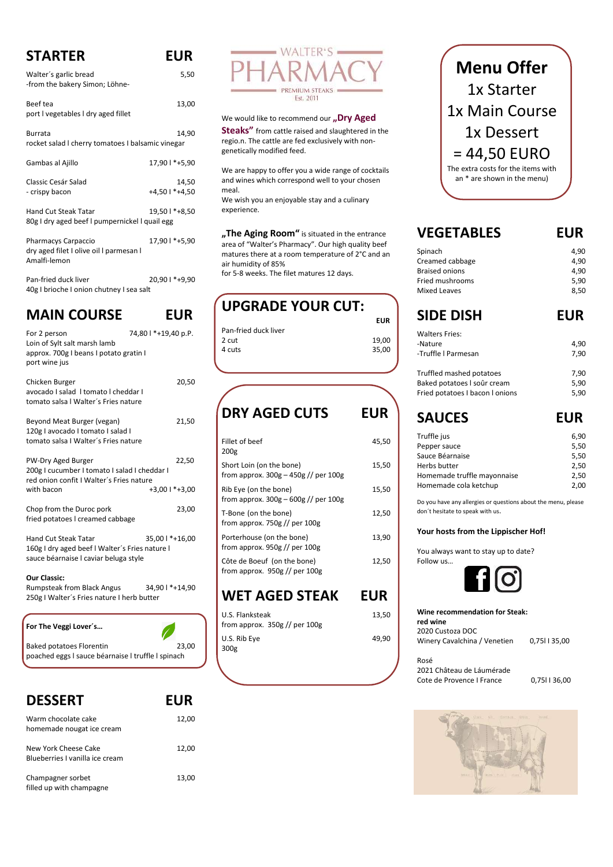# **STARTER EUR**

| Walter's garlic bread<br>-from the bakery Simon; Löhne-                               | 5,50                    |
|---------------------------------------------------------------------------------------|-------------------------|
| Beef tea<br>port I vegetables I dry aged fillet                                       | 13,00                   |
| Burrata<br>rocket salad I cherry tomatoes I balsamic vinegar                          | 14,90                   |
| Gambas al Ajillo                                                                      | 17,90   *+5,90          |
| Classic Cesár Salad<br>- crispy bacon                                                 | 14,50<br>+4,50   *+4,50 |
| <b>Hand Cut Steak Tatar</b><br>80g I dry aged beef I pumpernickel I quail egg         | 19,50   *+8,50          |
| <b>Pharmacys Carpaccio</b><br>dry aged filet I olive oil I parmesan I<br>Amalfi-lemon | 17,90   *+5,90          |

Pan-fried duck liver 20,90 l \*+9,90 40g I brioche I onion chutney I sea salt

### **MAIN COURSE EUR**

Warm chocolate cake 12,00 homemade nougat ice cream

New York Cheese Cake 12,00 Blueberries I vanilla ice cream

Champagner sorbet 13,00 filled up with champagne

| For 2 person<br>Loin of Sylt salt marsh lamb<br>approx. 700g I beans I potato gratin I<br>port wine jus                      | 74,80 l *+19,40 p.P.        |
|------------------------------------------------------------------------------------------------------------------------------|-----------------------------|
| Chicken Burger<br>avocado I salad I tomato I cheddar I<br>tomato salsa I Walter's Fries nature                               | 20,50                       |
| Beyond Meat Burger (vegan)<br>120g I avocado I tomato I salad I<br>tomato salsa I Walter's Fries nature                      | 21,50                       |
| PW-Dry Aged Burger<br>200g I cucumber I tomato I salad I cheddar I<br>red onion confit I Walter's Fries nature<br>with bacon | 22,50<br>$+3,001$ * $+3,00$ |
| Chop from the Duroc pork<br>fried potatoes I creamed cabbage                                                                 | 23,00                       |
| <b>Hand Cut Steak Tatar</b><br>160g I dry aged beef I Walter's Fries nature I<br>sauce béarnaise I caviar beluga style       | 35,00   *+16,00             |
| <b>Our Classic:</b><br><b>Rumpsteak from Black Angus</b><br>250g I Walter's Fries nature I herb butter                       | 34,90   *+14,90             |

#### **For The Veggi Lover´s…**

|  |  | Baked potatoes Florentin |                                                  |  | 23,00 |
|--|--|--------------------------|--------------------------------------------------|--|-------|
|  |  |                          | $\sim$ $\sim$ $\sim$ $\sim$ $\sim$ $\sim$ $\sim$ |  |       |



We would like to recommend our "Dry Aged

poached eggs l sauce béarnaise l truffle l spinach

#### **DESSERT EUR**

**Steaks"** from cattle raised and slaughtered in the regio.n. The cattle are fed exclusively with nongenetically modified feed.

> **Wine recommendation for Steak: red wine** 2020 Custoza DOC Winery Cavalchina / Venetien 0,75l I 35,00

#### Rosé 2021 Château de Láumérade Cote de Provence I France 0,75l I 36,00



We are happy to offer you a wide range of cocktails and wines which correspond well to your chosen meal.

We wish you an enjoyable stay and a culinary experience.

**"The Aging Room"** is situated in the entrance area of "Walter's Pharmacy". Our high quality beef matures there at a room temperature of 2°C and an air humidity of 85%

for 5-8 weeks. The filet matures 12 days.

### **UPGRADE YOUR CUT:**

|                      | <b>EUR</b> |
|----------------------|------------|
| Pan-fried duck liver |            |
| 2 cut                | 19,00      |
| 4 cuts               | 35.00      |
|                      |            |

### **DRY AGED CUTS EUR**

| Fillet of beef<br>200 <sub>g</sub>                                 | 45,50 |
|--------------------------------------------------------------------|-------|
| Short Loin (on the bone)<br>from approx. $300g - 450g$ // per 100g | 15,50 |
| Rib Eye (on the bone)<br>from approx. $300g - 600g$ // per $100g$  | 15,50 |
| T-Bone (on the bone)<br>from approx. $750g$ // per $100g$          | 12.50 |
| Porterhouse (on the bone)<br>from approx. $950g$ // per 100g       | 13,90 |
| Côte de Boeuf (on the bone)<br>from approx. $950g$ // per 100g     | 12,50 |

### **WET AGED STEAK EUR**

| U.S. Flanksteak               | 13,50 |  |
|-------------------------------|-------|--|
| from approx. 350g // per 100g |       |  |
| U.S. Rib Eye                  | 49.90 |  |
| 300g                          |       |  |



## **VEGETABLES EUR**

| Spinach                         | 4,90       |
|---------------------------------|------------|
| Creamed cabbage                 | 4,90       |
| <b>Braised onions</b>           | 4,90       |
| Fried mushrooms                 | 5,90       |
| Mixed Leaves                    | 8,50       |
| <b>SIDE DISH</b>                | <b>EUR</b> |
| <b>Walters Fries:</b>           |            |
| -Nature                         | 4,90       |
| -Truffle   Parmesan             | 7,90       |
| Truffled mashed potatoes        | 7,90       |
| Baked potatoes I soûr cream     | 5,90       |
| Fried potatoes I bacon I onions | 5,90       |
|                                 |            |

# **SAUCES EUR**

| Truffle jus                 | 6,90 |
|-----------------------------|------|
| Pepper sauce                | 5,50 |
| Sauce Béarnaise             | 5,50 |
| Herbs butter                | 2,50 |
| Homemade truffle mayonnaise | 2,50 |
| Homemade cola ketchup       | 2.00 |

Do you have any allergies or questions about the menu, please don´t hesitate to speak with us.

#### **Your hosts from the Lippischer Hof!**

You always want to stay up to date? Follow us…